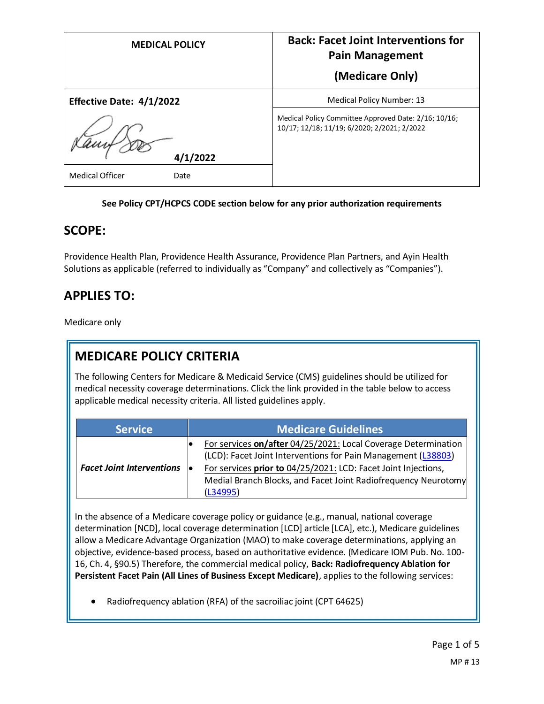| <b>MEDICAL POLICY</b>          | <b>Back: Facet Joint Interventions for</b><br><b>Pain Management</b>                                |
|--------------------------------|-----------------------------------------------------------------------------------------------------|
|                                | (Medicare Only)                                                                                     |
| Effective Date: 4/1/2022       | Medical Policy Number: 13                                                                           |
| 4/1/2022                       | Medical Policy Committee Approved Date: 2/16; 10/16;<br>10/17; 12/18; 11/19; 6/2020; 2/2021; 2/2022 |
| <b>Medical Officer</b><br>Date |                                                                                                     |

#### **See Policy CPT/HCPCS CODE section below for any prior authorization requirements**

#### **SCOPE:**

Providence Health Plan, Providence Health Assurance, Providence Plan Partners, and Ayin Health Solutions as applicable (referred to individually as "Company" and collectively as "Companies").

#### **APPLIES TO:**

Medicare only

# **MEDICARE POLICY CRITERIA**

The following Centers for Medicare & Medicaid Service (CMS) guidelines should be utilized for medical necessity coverage determinations. Click the link provided in the table below to access applicable medical necessity criteria. All listed guidelines apply.

| <b>Service</b>                   | Medicare Guidelines                                                                                                                                                                                                                                                             |
|----------------------------------|---------------------------------------------------------------------------------------------------------------------------------------------------------------------------------------------------------------------------------------------------------------------------------|
| <b>Facet Joint Interventions</b> | For services on/after 04/25/2021: Local Coverage Determination<br>(LCD): Facet Joint Interventions for Pain Management (L38803)<br>For services prior to 04/25/2021: LCD: Facet Joint Injections,<br>Medial Branch Blocks, and Facet Joint Radiofrequency Neurotomy<br>(L34995) |

In the absence of a Medicare coverage policy or guidance (e.g., manual, national coverage determination [NCD], local coverage determination [LCD] article [LCA], etc.), Medicare guidelines allow a Medicare Advantage Organization (MAO) to make coverage determinations, applying an objective, evidence-based process, based on authoritative evidence. (Medicare IOM Pub. No. 100- 16, Ch. 4, §90.5) Therefore, the commercial medical policy, **Back: Radiofrequency Ablation for Persistent Facet Pain (All Lines of Business Except Medicare)**, applies to the following services:

• Radiofrequency ablation (RFA) of the sacroiliac joint (CPT 64625)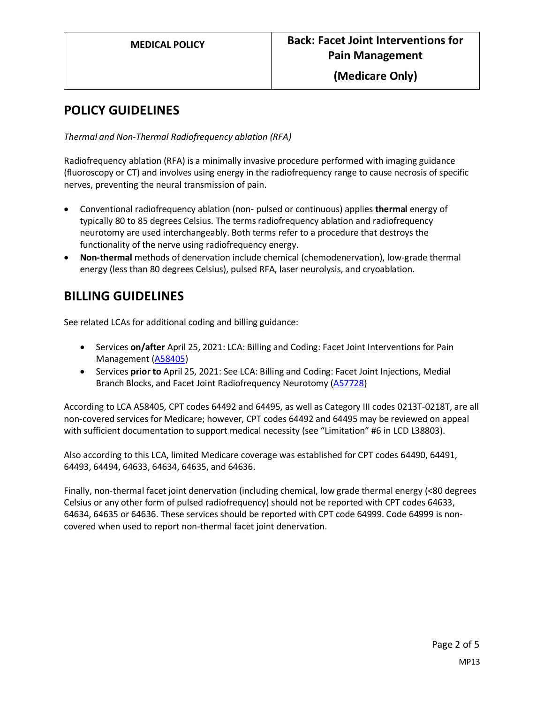**(Medicare Only)**

#### **POLICY GUIDELINES**

*Thermal and Non-Thermal Radiofrequency ablation (RFA)*

Radiofrequency ablation (RFA) is a minimally invasive procedure performed with imaging guidance (fluoroscopy or CT) and involves using energy in the radiofrequency range to cause necrosis of specific nerves, preventing the neural transmission of pain.

- Conventional radiofrequency ablation (non- pulsed or continuous) applies **thermal** energy of typically 80 to 85 degrees Celsius. The terms radiofrequency ablation and radiofrequency neurotomy are used interchangeably. Both terms refer to a procedure that destroys the functionality of the nerve using radiofrequency energy.
- **Non-thermal** methods of denervation include chemical (chemodenervation), low-grade thermal energy (less than 80 degrees Celsius), pulsed RFA, laser neurolysis, and cryoablation.

### **BILLING GUIDELINES**

See related LCAs for additional coding and billing guidance:

- Services **on/after** April 25, 2021: LCA: Billing and Coding: Facet Joint Interventions for Pain Management [\(A58405\)](https://www.cms.gov/medicare-coverage-database/details/article-details.aspx?articleId=58405)
- Services **prior to** April 25, 2021: See LCA: Billing and Coding: Facet Joint Injections, Medial Branch Blocks, and Facet Joint Radiofrequency Neurotomy [\(A57728\)](https://www.cms.gov/medicare-coverage-database/details/article-details.aspx?articleId=57728)

According to LCA A58405, CPT codes 64492 and 64495, as well as Category III codes 0213T-0218T, are all non-covered services for Medicare; however, CPT codes 64492 and 64495 may be reviewed on appeal with sufficient documentation to support medical necessity (see "Limitation" #6 in LCD L38803).

Also according to this LCA, limited Medicare coverage was established for CPT codes 64490, 64491, 64493, 64494, 64633, 64634, 64635, and 64636.

Finally, non-thermal facet joint denervation (including chemical, low grade thermal energy (<80 degrees Celsius or any other form of pulsed radiofrequency) should not be reported with CPT codes 64633, 64634, 64635 or 64636. These services should be reported with CPT code 64999. Code 64999 is noncovered when used to report non-thermal facet joint denervation.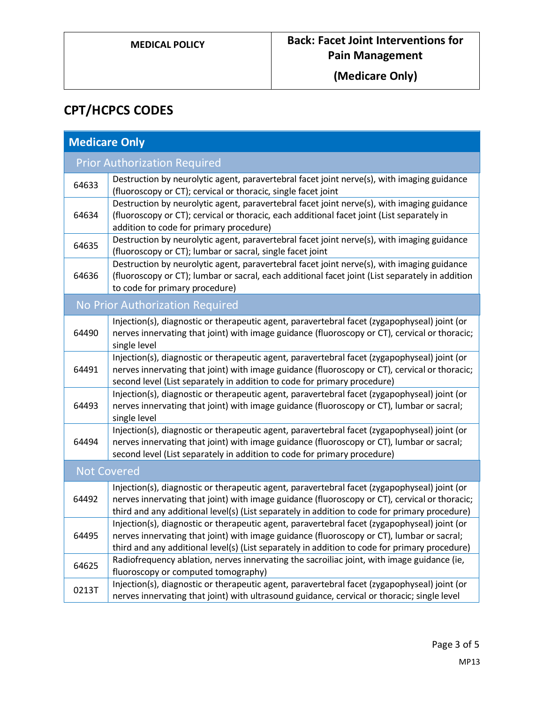**(Medicare Only)**

# **CPT/HCPCS CODES**

| <b>Medicare Only</b> |                                                                                                                                                                                                                                                                                                |  |
|----------------------|------------------------------------------------------------------------------------------------------------------------------------------------------------------------------------------------------------------------------------------------------------------------------------------------|--|
|                      | <b>Prior Authorization Required</b>                                                                                                                                                                                                                                                            |  |
| 64633                | Destruction by neurolytic agent, paravertebral facet joint nerve(s), with imaging guidance<br>(fluoroscopy or CT); cervical or thoracic, single facet joint                                                                                                                                    |  |
| 64634                | Destruction by neurolytic agent, paravertebral facet joint nerve(s), with imaging guidance<br>(fluoroscopy or CT); cervical or thoracic, each additional facet joint (List separately in<br>addition to code for primary procedure)                                                            |  |
| 64635                | Destruction by neurolytic agent, paravertebral facet joint nerve(s), with imaging guidance<br>(fluoroscopy or CT); lumbar or sacral, single facet joint                                                                                                                                        |  |
| 64636                | Destruction by neurolytic agent, paravertebral facet joint nerve(s), with imaging guidance<br>(fluoroscopy or CT); lumbar or sacral, each additional facet joint (List separately in addition<br>to code for primary procedure)                                                                |  |
|                      | No Prior Authorization Required                                                                                                                                                                                                                                                                |  |
| 64490                | Injection(s), diagnostic or therapeutic agent, paravertebral facet (zygapophyseal) joint (or<br>nerves innervating that joint) with image guidance (fluoroscopy or CT), cervical or thoracic;<br>single level                                                                                  |  |
| 64491                | Injection(s), diagnostic or therapeutic agent, paravertebral facet (zygapophyseal) joint (or<br>nerves innervating that joint) with image guidance (fluoroscopy or CT), cervical or thoracic;<br>second level (List separately in addition to code for primary procedure)                      |  |
| 64493                | Injection(s), diagnostic or therapeutic agent, paravertebral facet (zygapophyseal) joint (or<br>nerves innervating that joint) with image guidance (fluoroscopy or CT), lumbar or sacral;<br>single level                                                                                      |  |
| 64494                | Injection(s), diagnostic or therapeutic agent, paravertebral facet (zygapophyseal) joint (or<br>nerves innervating that joint) with image guidance (fluoroscopy or CT), lumbar or sacral;<br>second level (List separately in addition to code for primary procedure)                          |  |
| <b>Not Covered</b>   |                                                                                                                                                                                                                                                                                                |  |
| 64492                | Injection(s), diagnostic or therapeutic agent, paravertebral facet (zygapophyseal) joint (or<br>nerves innervating that joint) with image guidance (fluoroscopy or CT), cervical or thoracic;<br>third and any additional level(s) (List separately in addition to code for primary procedure) |  |
| 64495                | Injection(s), diagnostic or therapeutic agent, paravertebral facet (zygapophyseal) joint (or<br>nerves innervating that joint) with image guidance (fluoroscopy or CT), lumbar or sacral;<br>third and any additional level(s) (List separately in addition to code for primary procedure)     |  |
| 64625                | Radiofrequency ablation, nerves innervating the sacroiliac joint, with image guidance (ie,<br>fluoroscopy or computed tomography)                                                                                                                                                              |  |
| 0213T                | Injection(s), diagnostic or therapeutic agent, paravertebral facet (zygapophyseal) joint (or<br>nerves innervating that joint) with ultrasound guidance, cervical or thoracic; single level                                                                                                    |  |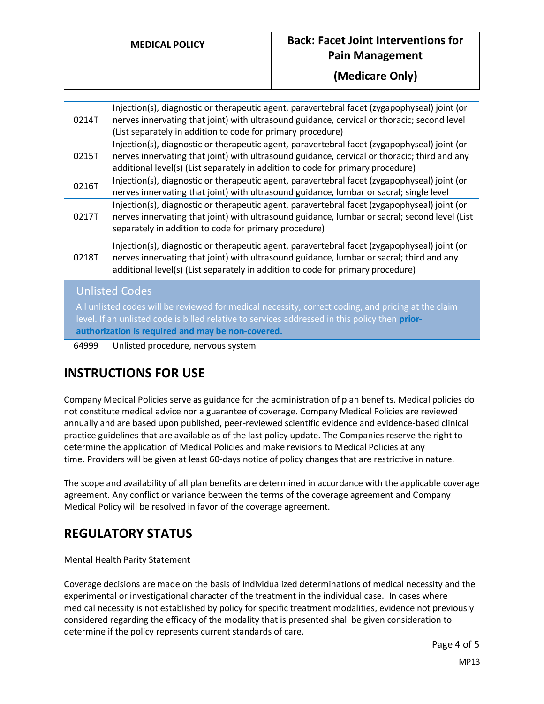#### **MEDICAL POLICY Back: Facet Joint Interventions for Pain Management**

#### **(Medicare Only)**

| 0214T                                                                                                                                               | Injection(s), diagnostic or therapeutic agent, paravertebral facet (zygapophyseal) joint (or<br>nerves innervating that joint) with ultrasound guidance, cervical or thoracic; second level<br>(List separately in addition to code for primary procedure)                      |
|-----------------------------------------------------------------------------------------------------------------------------------------------------|---------------------------------------------------------------------------------------------------------------------------------------------------------------------------------------------------------------------------------------------------------------------------------|
| 0215T                                                                                                                                               | Injection(s), diagnostic or therapeutic agent, paravertebral facet (zygapophyseal) joint (or<br>nerves innervating that joint) with ultrasound guidance, cervical or thoracic; third and any<br>additional level(s) (List separately in addition to code for primary procedure) |
| 0216T                                                                                                                                               | Injection(s), diagnostic or therapeutic agent, paravertebral facet (zygapophyseal) joint (or<br>nerves innervating that joint) with ultrasound guidance, lumbar or sacral; single level                                                                                         |
| 0217T                                                                                                                                               | Injection(s), diagnostic or therapeutic agent, paravertebral facet (zygapophyseal) joint (or<br>nerves innervating that joint) with ultrasound guidance, lumbar or sacral; second level (List<br>separately in addition to code for primary procedure)                          |
| 0218T                                                                                                                                               | Injection(s), diagnostic or therapeutic agent, paravertebral facet (zygapophyseal) joint (or<br>nerves innervating that joint) with ultrasound guidance, lumbar or sacral; third and any<br>additional level(s) (List separately in addition to code for primary procedure)     |
| <b>Unlisted Codes</b><br>All unlisted codes will be reviewed for medical necessity, correct coding, and pricing at the claim                        |                                                                                                                                                                                                                                                                                 |
| level. If an unlisted code is billed relative to services addressed in this policy then prior-<br>authorization is required and may be non-covered. |                                                                                                                                                                                                                                                                                 |
| 64999                                                                                                                                               | Unlisted procedure, nervous system                                                                                                                                                                                                                                              |

### **INSTRUCTIONS FOR USE**

Company Medical Policies serve as guidance for the administration of plan benefits. Medical policies do not constitute medical advice nor a guarantee of coverage. Company Medical Policies are reviewed annually and are based upon published, peer-reviewed scientific evidence and evidence-based clinical practice guidelines that are available as of the last policy update. The Companies reserve the right to determine the application of Medical Policies and make revisions to Medical Policies at any time. Providers will be given at least 60-days notice of policy changes that are restrictive in nature.

The scope and availability of all plan benefits are determined in accordance with the applicable coverage agreement. Any conflict or variance between the terms of the coverage agreement and Company Medical Policy will be resolved in favor of the coverage agreement.

## **REGULATORY STATUS**

#### Mental Health Parity Statement

Coverage decisions are made on the basis of individualized determinations of medical necessity and the experimental or investigational character of the treatment in the individual case. In cases where medical necessity is not established by policy for specific treatment modalities, evidence not previously considered regarding the efficacy of the modality that is presented shall be given consideration to determine if the policy represents current standards of care.